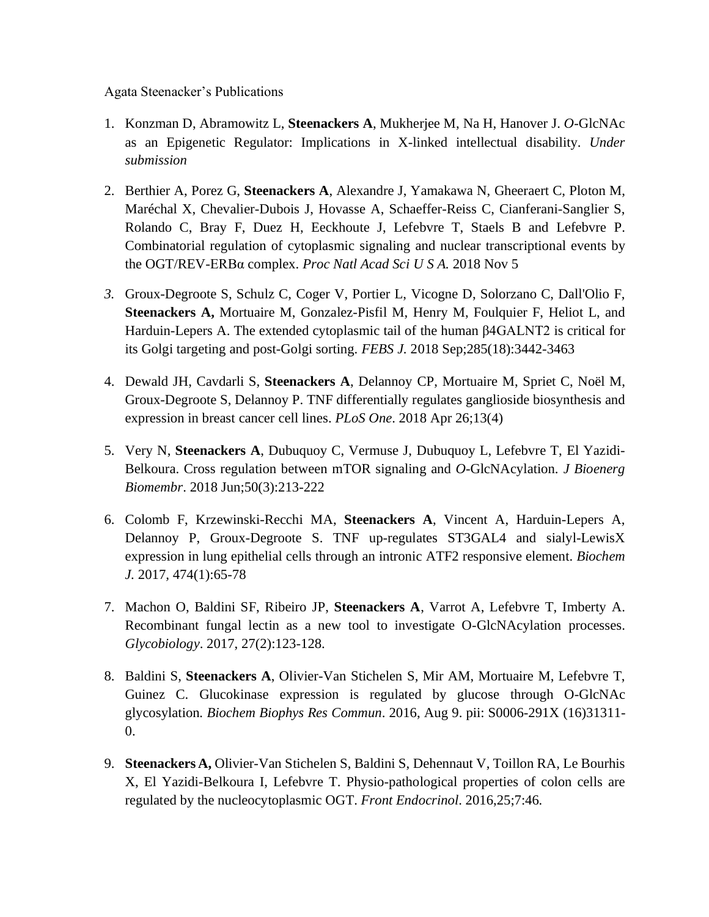## Agata Steenacker's Publications

- 1. Konzman D, Abramowitz L, **Steenackers A**, Mukherjee M, Na H, Hanover J. *O*-GlcNAc as an Epigenetic Regulator: Implications in X-linked intellectual disability. *Under submission*
- 2. Berthier A, Porez G, **Steenackers A**, Alexandre J, Yamakawa N, Gheeraert C, Ploton M, Maréchal X, Chevalier-Dubois J, Hovasse A, Schaeffer-Reiss C, Cianferani-Sanglier S, Rolando C, Bray F, Duez H, Eeckhoute J, Lefebvre T, Staels B and Lefebvre P. Combinatorial regulation of cytoplasmic signaling and nuclear transcriptional events by the OGT/REV-ERBα complex. *Proc Natl Acad Sci U S A.* 2018 Nov 5
- *3.* Groux-Degroote S, Schulz C, Coger V, Portier L, Vicogne D, Solorzano C, Dall'Olio F, **Steenackers A,** Mortuaire M, Gonzalez-Pisfil M, Henry M, Foulquier F, Heliot L, and Harduin-Lepers A. The extended cytoplasmic tail of the human β4GALNT2 is critical for its Golgi targeting and post-Golgi sorting. *FEBS J.* 2018 Sep;285(18):3442-3463
- 4. Dewald JH, Cavdarli S, **Steenackers A**, Delannoy CP, Mortuaire M, Spriet C, Noël M, Groux-Degroote S, Delannoy P. TNF differentially regulates ganglioside biosynthesis and expression in breast cancer cell lines. *PLoS One*. 2018 Apr 26;13(4)
- 5. Very N, **Steenackers A**, Dubuquoy C, Vermuse J, Dubuquoy L, Lefebvre T, El Yazidi-Belkoura. Cross regulation between mTOR signaling and *O*-GlcNAcylation. *J Bioenerg Biomembr*. 2018 Jun;50(3):213-222
- 6. Colomb F, Krzewinski-Recchi MA, **Steenackers A**, Vincent A, Harduin-Lepers A, Delannoy P, Groux-Degroote S. TNF up-regulates ST3GAL4 and sialyl-LewisX expression in lung epithelial cells through an intronic ATF2 responsive element. *Biochem J.* 2017*,* 474(1):65-78
- 7. Machon O, Baldini SF, Ribeiro JP, **Steenackers A**, Varrot A, Lefebvre T, Imberty A. Recombinant fungal lectin as a new tool to investigate O-GlcNAcylation processes. *Glycobiology*. 2017, 27(2):123-128.
- 8. Baldini S, **Steenackers A**, Olivier-Van Stichelen S, Mir AM, Mortuaire M, Lefebvre T, Guinez C. Glucokinase expression is regulated by glucose through O-GlcNAc glycosylation*. Biochem Biophys Res Commun*. 2016, Aug 9. pii: S0006-291X (16)31311- 0.
- 9. **Steenackers A,** Olivier-Van Stichelen S, Baldini S, Dehennaut V, Toillon RA, Le Bourhis X, El Yazidi-Belkoura I, Lefebvre T. Physio-pathological properties of colon cells are regulated by the nucleocytoplasmic OGT. *Front Endocrinol*. 2016,25;7:46*.*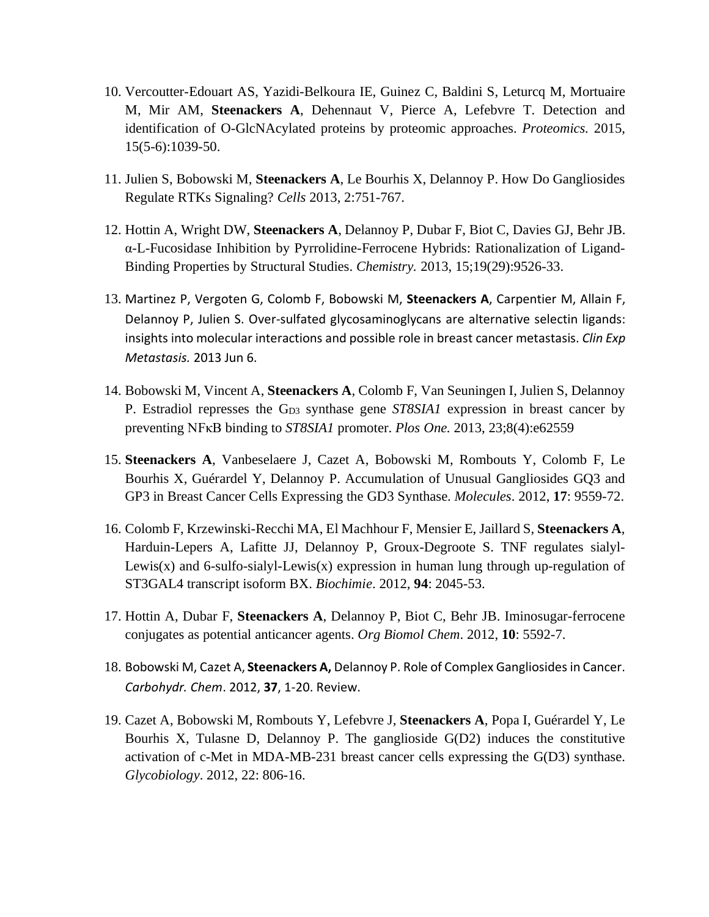- 10. Vercoutter-Edouart AS, Yazidi-Belkoura IE, Guinez C, Baldini S, Leturcq M, Mortuaire M, Mir AM, **Steenackers A**, Dehennaut V, Pierce A, Lefebvre T. Detection and identification of O-GlcNAcylated proteins by proteomic approaches. *[Proteomics.](http://www.ncbi.nlm.nih.gov.gate1.inist.fr/pubmed/25429863)* 2015, 15(5-6):1039-50.
- 11. Julien S, Bobowski M, **Steenackers A**, Le Bourhis X, Delannoy P. How Do Gangliosides Regulate RTKs Signaling? *Cells* 2013, 2:751-767.
- 12. [Hottin](http://www.ncbi.nlm.nih.gov.gate1.inist.fr/pubmed?term=Hottin%20A%5BAuthor%5D&cauthor=true&cauthor_uid=23740878) A, [Wright](http://www.ncbi.nlm.nih.gov.gate1.inist.fr/pubmed?term=Wright%20DW%5BAuthor%5D&cauthor=true&cauthor_uid=23740878) DW, **[Steenackers](http://www.ncbi.nlm.nih.gov.gate1.inist.fr/pubmed?term=Steenackers%20A%5BAuthor%5D&cauthor=true&cauthor_uid=23740878) A**, [Delannoy](http://www.ncbi.nlm.nih.gov.gate1.inist.fr/pubmed?term=Delannoy%20P%5BAuthor%5D&cauthor=true&cauthor_uid=23740878) P, [Dubar](http://www.ncbi.nlm.nih.gov.gate1.inist.fr/pubmed?term=Dubar%20F%5BAuthor%5D&cauthor=true&cauthor_uid=23740878) F, [Biot](http://www.ncbi.nlm.nih.gov.gate1.inist.fr/pubmed?term=Biot%20C%5BAuthor%5D&cauthor=true&cauthor_uid=23740878) C, [Davies](http://www.ncbi.nlm.nih.gov.gate1.inist.fr/pubmed?term=Davies%20GJ%5BAuthor%5D&cauthor=true&cauthor_uid=23740878) GJ, [Behr](http://www.ncbi.nlm.nih.gov.gate1.inist.fr/pubmed?term=Behr%20JB%5BAuthor%5D&cauthor=true&cauthor_uid=23740878) JB. α-L-Fucosidase Inhibition by Pyrrolidine-Ferrocene Hybrids: Rationalization of Ligand-Binding Properties by Structural Studies. *[Chemistry.](http://www.ncbi.nlm.nih.gov.gate1.inist.fr/pubmed/23740878)* 2013, 15;19(29):9526-33.
- 13. Martinez P, Vergoten G, Colomb F, Bobowski M, **Steenackers A**, Carpentier M, Allain F, Delannoy P, Julien S. Over-sulfated glycosaminoglycans are alternative selectin ligands: insights into molecular interactions and possible role in breast cancer metastasis. *[Clin](http://www.ncbi.nlm.nih.gov.gate1.inist.fr/pubmed/23739843) Exp [Metastasis.](http://www.ncbi.nlm.nih.gov.gate1.inist.fr/pubmed/23739843)* 2013 Jun 6.
- 14. Bobowski M, Vincent A, **Steenackers A**, Colomb F, Van Seuningen I, Julien S, Delannoy P. Estradiol represses the G<sub>D3</sub> synthase gene *ST8SIA1* expression in breast cancer by preventing NFκB binding to *ST8SIA1* promoter. *Plos One.* 2013, 23;8(4):e62559
- 15. **Steenackers A**, Vanbeselaere J, Cazet A, Bobowski M, Rombouts Y, Colomb F, Le Bourhis X, Guérardel Y, Delannoy P. Accumulation of Unusual Gangliosides GQ3 and GP3 in Breast Cancer Cells Expressing the GD3 Synthase. *Molecules*. 2012, **17**: 9559-72.
- 16. Colomb F, Krzewinski-Recchi MA, El Machhour F, Mensier E, Jaillard S, **Steenackers A**, Harduin-Lepers A, Lafitte JJ, Delannoy P, Groux-Degroote S. TNF regulates sialyl-Lewis(x) and 6-sulfo-sialyl-Lewis(x) expression in human lung through up-regulation of ST3GAL4 transcript isoform BX. *Biochimie*. 2012, **94**: 2045-53.
- 17. Hottin A, Dubar F, **Steenackers A**, Delannoy P, Biot C, Behr JB. Iminosugar-ferrocene conjugates as potential anticancer agents. *Org Biomol Chem*. 2012, **10**: 5592-7.
- 18. Bobowski M, Cazet A, **Steenackers A,** Delannoy P. Role of Complex Gangliosides in Cancer. *Carbohydr. Chem*. 2012, **37**, 1-20. Review.
- 19. Cazet A, Bobowski M, Rombouts Y, Lefebvre J, **Steenackers A**, Popa I, Guérardel Y, Le Bourhis X, Tulasne D, Delannoy P. The ganglioside G(D2) induces the constitutive activation of c-Met in MDA-MB-231 breast cancer cells expressing the G(D3) synthase. *Glycobiology*. 2012, 22: 806-16.